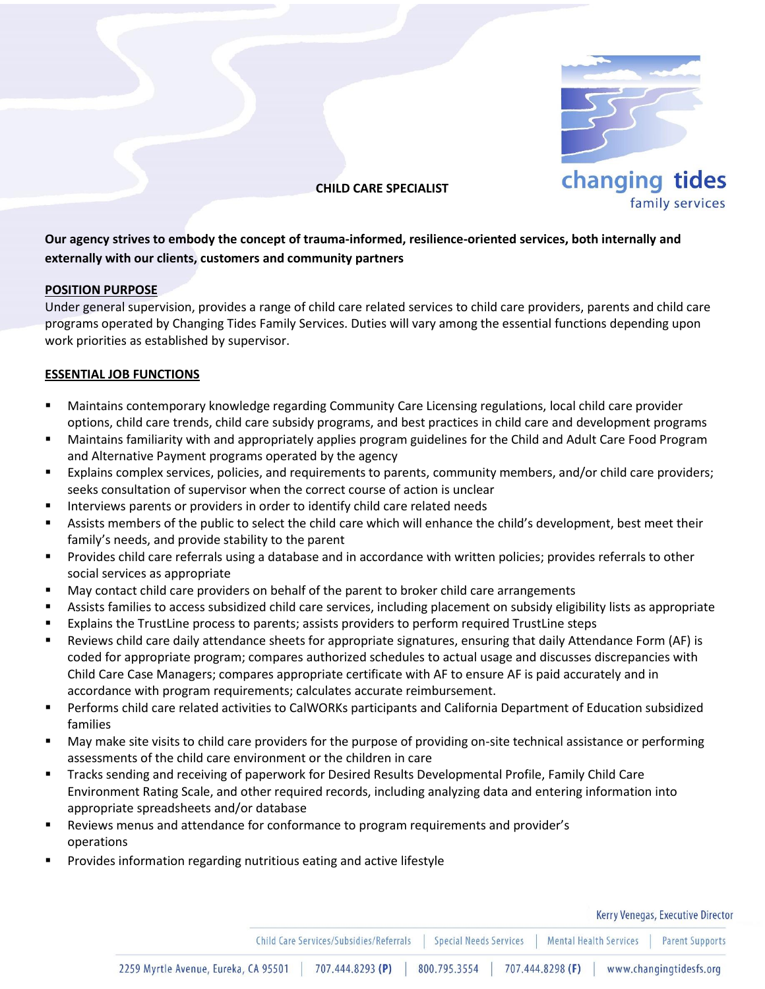

**CHILD CARE SPECIALIST**

# **Our agency strives to embody the concept of trauma-informed, resilience-oriented services, both internally and externally with our clients, customers and community partners**

## **POSITION PURPOSE**

Under general supervision, provides a range of child care related services to child care providers, parents and child care programs operated by Changing Tides Family Services. Duties will vary among the essential functions depending upon work priorities as established by supervisor.

## **ESSENTIAL JOB FUNCTIONS**

- Maintains contemporary knowledge regarding Community Care Licensing regulations, local child care provider options, child care trends, child care subsidy programs, and best practices in child care and development programs
- Maintains familiarity with and appropriately applies program guidelines for the Child and Adult Care Food Program and Alternative Payment programs operated by the agency
- Explains complex services, policies, and requirements to parents, community members, and/or child care providers; seeks consultation of supervisor when the correct course of action is unclear
- Interviews parents or providers in order to identify child care related needs
- Assists members of the public to select the child care which will enhance the child's development, best meet their family's needs, and provide stability to the parent
- Provides child care referrals using a database and in accordance with written policies; provides referrals to other social services as appropriate
- May contact child care providers on behalf of the parent to broker child care arrangements
- Assists families to access subsidized child care services, including placement on subsidy eligibility lists as appropriate
- Explains the TrustLine process to parents; assists providers to perform required TrustLine steps
- Reviews child care daily attendance sheets for appropriate signatures, ensuring that daily Attendance Form (AF) is coded for appropriate program; compares authorized schedules to actual usage and discusses discrepancies with Child Care Case Managers; compares appropriate certificate with AF to ensure AF is paid accurately and in accordance with program requirements; calculates accurate reimbursement.
- Performs child care related activities to CalWORKs participants and California Department of Education subsidized families
- May make site visits to child care providers for the purpose of providing on-site technical assistance or performing assessments of the child care environment or the children in care
- Tracks sending and receiving of paperwork for Desired Results Developmental Profile, Family Child Care Environment Rating Scale, and other required records, including analyzing data and entering information into appropriate spreadsheets and/or database
- Reviews menus and attendance for conformance to program requirements and provider's operations
- Provides information regarding nutritious eating and active lifestyle

Kerry Venegas, Executive Director